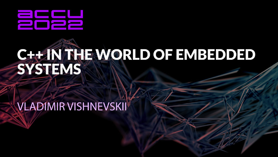

# C++ IN THE WORLD OF EMBEDDED SYSTEMS

# **VLADIMIR VISHNEVSKII**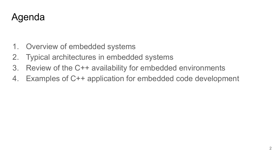#### Agenda

- 1. Overview of embedded systems
- 2. Typical architectures in embedded systems
- 3. Review of the C++ availability for embedded environments
- 4. Examples of C++ application for embedded code development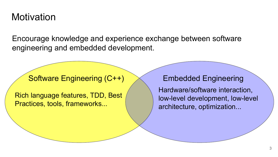#### **Motivation**

Encourage knowledge and experience exchange between software engineering and embedded development.

#### Software Engineering (C++)  $\quad$  Embedded Engineering

Rich language features, TDD, Best Practices, tools, frameworks...

Hardware/software interaction, low-level development, low-level architecture, optimization...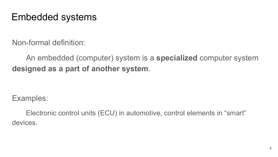#### Embedded systems

Non-formal definition:

An embedded (computer) system is a **specialized** computer system **designed as a part of another system**.

Examples:

Electronic control units (ECU) in automotive, control elements in "smart" devices.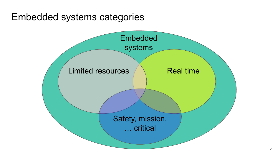#### Embedded systems categories

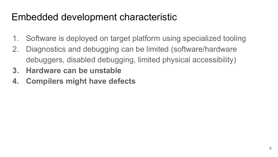#### Embedded development characteristic

- 1. Software is deployed on target platform using specialized tooling
- 2. Diagnostics and debugging can be limited (software/hardware debuggers, disabled debugging, limited physical accessibility)
- **3. Hardware can be unstable**
- **4. Compilers might have defects**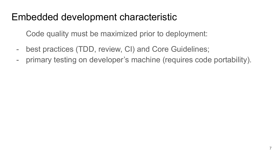#### Embedded development characteristic

Code quality must be maximized prior to deployment:

- best practices (TDD, review, CI) and Core Guidelines;
- primary testing on developer's machine (requires code portability).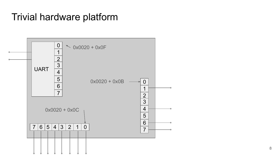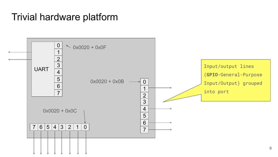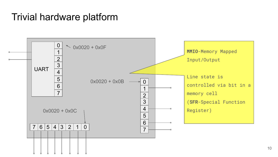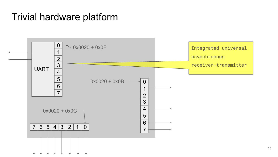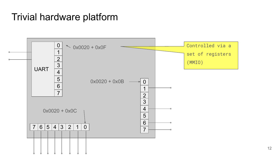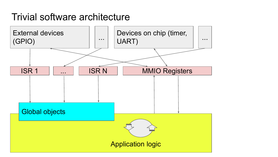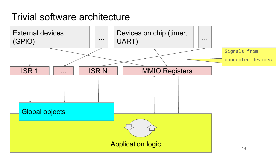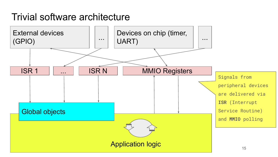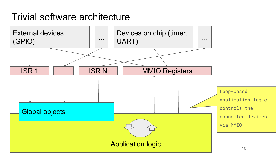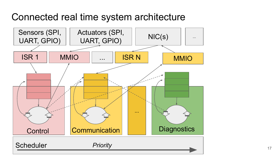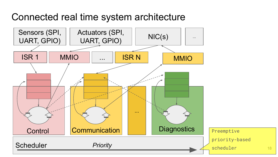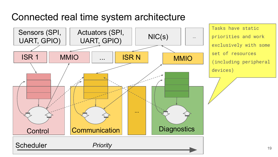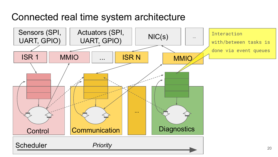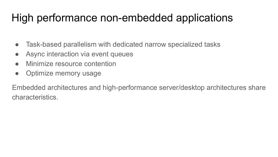# High performance non-embedded applications

- Task-based parallelism with dedicated narrow specialized tasks
- Async interaction via event queues
- Minimize resource contention
- Optimize memory usage

Embedded architectures and high-performance server/desktop architectures share characteristics.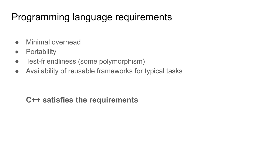#### Programming language requirements

- Minimal overhead
- Portability
- Test-friendliness (some polymorphism)
- Availability of reusable frameworks for typical tasks

#### **C++ satisfies the requirements**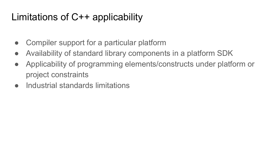## Limitations of С++ applicability

- Compiler support for a particular platform
- Availability of standard library components in a platform SDK
- Applicability of programming elements/constructs under platform or project constraints
- Industrial standards limitations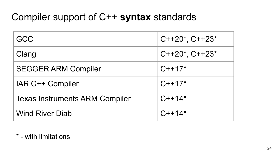#### Compiler support of C++ **syntax** standards

| GCC                                   | $C++20^*$ , $C++23^*$ |
|---------------------------------------|-----------------------|
| Clang                                 | $C++20^*$ , $C++23^*$ |
| <b>SEGGER ARM Compiler</b>            | $C++17*$              |
| IAR C++ Compiler                      | $C++17*$              |
| <b>Texas Instruments ARM Compiler</b> | $C++14*$              |
| <b>Wind River Diab</b>                | $C++14*$              |

#### \* - with limitations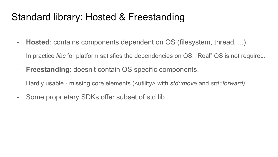#### Standard library: Hosted & Freestanding

- **Hosted**: contains components dependent on OS (filesystem, thread, ...).
	- In practice *libc* for platform satisfies the dependencies on OS. "Real" OS is not required.
- **Freestanding**: doesn't contain OS specific components.

Hardly usable - missing core elements (<utility> with *std::move* and *std::forward).* 

- Some proprietary SDKs offer subset of std lib.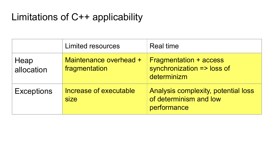## Limitations of С++ applicability

|                    | <b>Limited resources</b>                | Real time                                                                    |
|--------------------|-----------------------------------------|------------------------------------------------------------------------------|
| Heap<br>allocation | Maintenance overhead +<br>fragmentation | <b>Fragmentation + access</b><br>synchronization => loss of<br>determinizm   |
| <b>Exceptions</b>  | Increase of executable<br>size          | Analysis complexity, potential loss<br>of determinism and low<br>performance |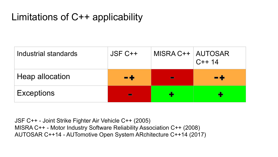## Limitations of С++ applicability

| Industrial standards   | $JSF C++$ | MISRA C++   AUTOSAR | $C++14$ |
|------------------------|-----------|---------------------|---------|
| <b>Heap allocation</b> | ∙÷        |                     | - 4     |
| <b>Exceptions</b>      |           |                     |         |

JSF C++ - Joint Strike Fighter Air Vehicle C++ (2005) MISRA C++ - Motor Industry Software Reliability Association C++ (2008) AUTOSAR C++14 - AUTomotive Open System ARchitecture С++14 (2017)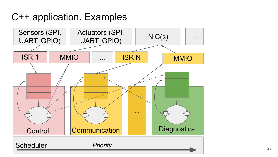С++ application. Examples

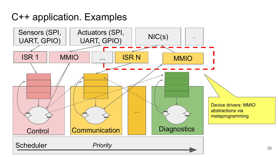С++ application. Examples

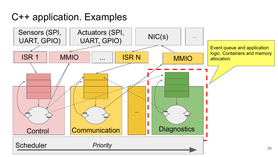С++ application. Examples

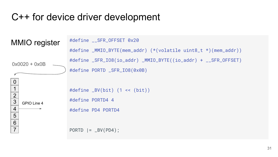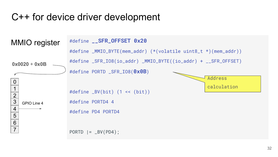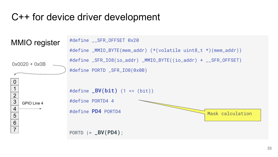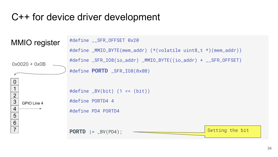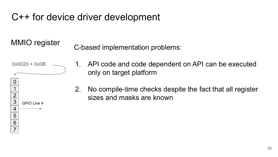MMIO register C-based implementation problems:



- 1. API code and code dependent on API can be executed only on target platform
- 2. No compile-time checks despite the fact that all register sizes and masks are known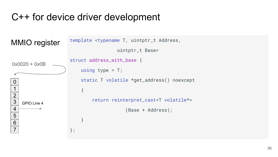```
template <typename T, uintptr_t Address, 
                                               uintptr_t Base>
                          struct address_with_base {
                              using type = T;
                                static T volatile *get_address() noexcept
                          \left\{ \begin{array}{c} \end{array} \right. return reinterpret_cast<T volatile*>
                                                   (Base + Address);
                           }
                          };
 0
 1
 2
 \overline{3}4
 5
 6
 7
    GPIO Line 4
0x0020 + 0x0B
MMIO register
```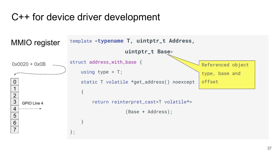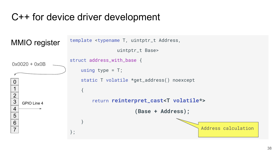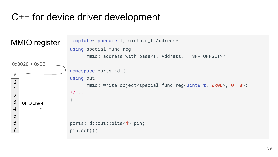```
template<typename T, uintptr_t Address>
                      using special_func_reg 
                           = mmio::address_with_base<T, Address, __SFR_OFFSET>;
                      namespace ports::d {
                      using out 
                           = mmio::write_object<special_func_reg<uint8_t, 0x0B>, 0, 8>;
                      //...
                       }
                      ports::d::out::bits<4> pin;
                      pin.set();
 0
 1
2
 \overline{3}4
5
6
 7
    GPIO Line 4
0x0020 + 0x0B
MMIO register
```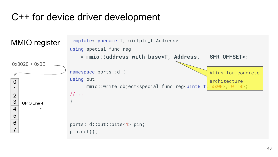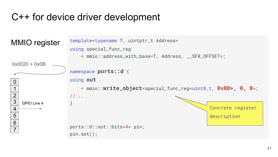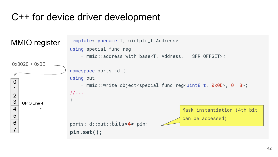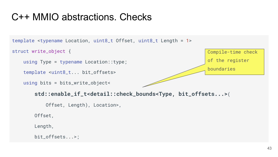# С++ MMIO abstractions. Checks

```
template <typename Location, uint8_t Offset, uint8_t Length = 1>
struct write_object {
    using Type = typename Location::type;
    template <uint8_t... bit_offsets>
    using bits = bits_write_object<
        std::enable_if_t<detail::check_bounds<Type, bit_offsets...>(
             Offset, Length), Location>,
        Offset,
        Length,
        bit_offsets...>;
                                                                      Compile-time check 
                                                                      of the register 
                                                                      boundaries
```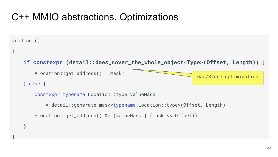# С++ MMIO abstractions. Optimizations

```
void set()
```
{

}

}

```
 if constexpr (detail::does_cover_the_whole_object<Type>(Offset, Length)) {
```

```
 *Location::get_address() = mask;
```

```
 } else {
```
Load/Store optimization

```
 constexpr typename Location::type valueMask
```
= detail::generate\_mask<typename Location::type>(Offset, Length);

```
 *Location::get_address() &= (valueMask | (mask << Offset));
```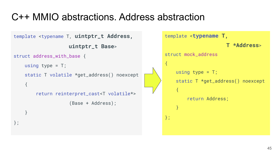# С++ MMIO abstractions. Address abstraction

```
template <typename T, uintptr_t Address, 
                          uintptr_t Base>
struct address_with_base {
    using type = T;
      static T volatile *get_address() noexcept
      {
           return reinterpret_cast<T volatile*>
                          (Base + Address);
      }
};
                                                                     template <typename T, 
                                                                                                   T *Address>
                                                                     struct mock address
                                                                      {
                                                                           using type = T;
                                                                            static T *get_address() noexcept
                                                                      \left\{ \begin{array}{c} \mathcal{L}_{1} & \mathcal{L}_{2} \end{array} \right\} return Address;
                                                                      \longrightarrow};
```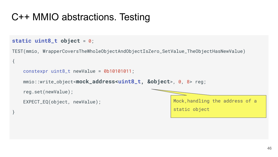# С++ MMIO abstractions. Testing

#### **static uint8\_t object** = 0;

{

}

TEST(mmio, WrapperCoversTheWholeObjectAndObjectIsZero\_SetValue\_TheObjectHasNewValue)

```
 constexpr uint8_t newValue = 0b10101011;
 mmio::write_object<mock_address<uint8_t, &object>, 0, 8> reg;
 reg.set(newValue);
 EXPECT_EQ(object, newValue);
                                                      Mock,handling the address of a 
                                                      static object
```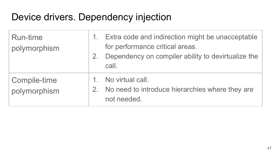# Device drivers. Dependency injection

| <b>Run-time</b><br>polymorphism | 1. Extra code and indirection might be unacceptable<br>for performance critical areas.<br>2. Dependency on compiler ability to devirtualize the<br>call. |
|---------------------------------|----------------------------------------------------------------------------------------------------------------------------------------------------------|
| Compile-time<br>polymorphism    | 1. No virtual call.<br>2. No need to introduce hierarchies where they are<br>not needed.                                                                 |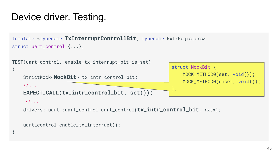# Device driver. Testing.

```
template <typename TxInterruptControllBit, typename RxTxRegisters>
struct uart_control {...};
```

```
TEST(uart_control, enable_tx_interrupt_bit_is_set)
```

```
 StrictMock<MockBit> tx_intr_control_bit;
```

```
 //...
```
{

}

**EXPECT\_CALL(tx\_intr\_control\_bit, set());**

```
struct MockBit {
     MOCK_METHOD0(set, void());
     MOCK_METHOD0(unset, void());
};
```

```
 //...
```
drivers::uart::uart\_control uart\_control(**tx\_intr\_control\_bit**, rxtx);

```
 uart_control.enable_tx_interrupt();
```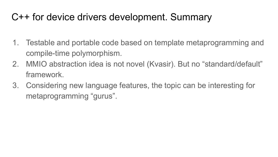# C++ for device drivers development. Summary

- 1. Testable and portable code based on template metaprogramming and compile-time polymorphism.
- 2. MMIO abstraction idea is not novel (Kvasir). But no "standard/default" framework.
- 3. Considering new language features, the topic can be interesting for metaprogramming "gurus".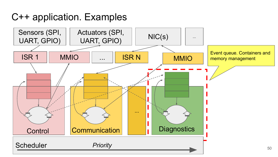С++ application. Examples

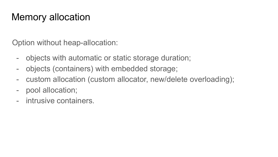# Memory allocation

Option without heap-allocation:

- objects with automatic or static storage duration;
- objects (containers) with embedded storage;
- custom allocation (custom allocator, new/delete overloading);
- pool allocation;
- intrusive containers.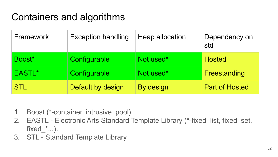# Containers and algorithms

| Framework          | <b>Exception handling</b> | Heap allocation | Dependency on<br>std  |
|--------------------|---------------------------|-----------------|-----------------------|
| Boost <sup>*</sup> | Configurable              | Not used*       | <b>Hosted</b>         |
| EASTL*             | Configurable              | Not used*       | Freestanding          |
| <b>STL</b>         | Default by design         | By design       | <b>Part of Hosted</b> |

- 1. Boost (\*-container, intrusive, pool).
- 2. EASTL Electronic Arts Standard Template Library (\*-fixed list, fixed set, fixed  $*...$ ).
- 3. STL Standard Template Library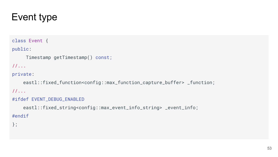# Event type

#### class Event {

#### public:

```
Timestamp getTimestamp() const;
```
#### //...

#### private:

 eastl::fixed\_function<config::max\_function\_capture\_buffer> \_function; //...

#### #ifdef EVENT\_DEBUG\_ENABLED

 eastl::fixed\_string<config::max\_event\_info\_string> \_event\_info; #endif

#### };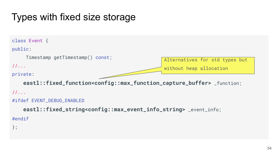# Types with fixed size storage

```
class Event {
public:
    Timestamp getTimestamp() const;
//...
private:
    eastl::fixed_function<config::max_function_capture_buffer> _function;
//...
#ifdef EVENT_DEBUG_ENABLED
    eastl::fixed_string<config::max_event_info_string> _event_info;
#endif
};
                                                     Alternatives for std types but 
                                                     without heap allocation
```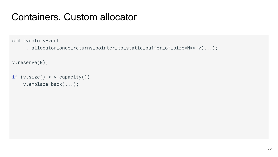std::vector<Event

```
, allocator_once_returns_pointer_to_static_buffer_of_size<N>> v(...);
```
v.reserve(N);

```
if (v.size() < v.capacity())
     v.emplace_back(...);
```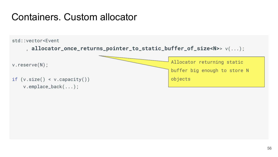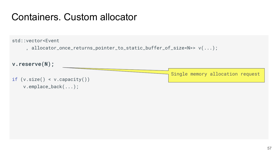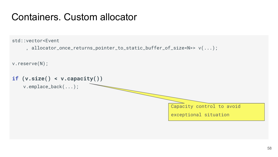std::vector<Event

, allocator\_once\_returns\_pointer\_to\_static\_buffer\_of\_size<N>> v(...);

v.reserve(N);

```
if (v.size() < v.capacity())
    v.emplace_back(...);
```
Capacity control to avoid

exceptional situation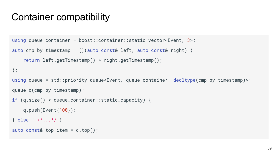```
using queue_container = boost::container::static_vector<Event, 3>;
auto cmp_by_timestamp = [](auto const& left, auto const& right) {
     return left.getTimestamp() > right.getTimestamp();
};
using queue = std::priority_queue<Event, queue_container, decltype(cmp_by_timestamp)>;
queue q(cmp_by_timestamp);
if (q.size() < queue_container::static_capacity) { 
     q.push(Event{100});
} else { /*...*/ }
auto const& top_item = q.top();
```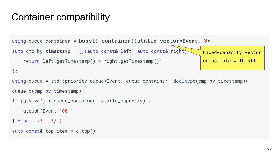```
using queue_container = boost::container::static_vector<Event, 3>;
auto cmp_by_timestamp = [ ](auto const& left, auto const& right)
     return left.getTimestamp() > right.getTimestamp();
};
using queue = std::priority_queue<Event, queue_container, decltype(cmp_by_timestamp)>;
queue q(cmp_by_timestamp);
if (q.size() < queue_container::static_capacity) { 
    q.push(Event{100});
} else { /*...*/ }
auto const& top_item = q.top();
                                                                     Fixed-capacity vector 
                                                                     compatible with stl
```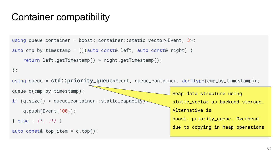```
using queue_container = boost::container::static_vector<Event, 3>;
auto cmp_by_timestamp = \iint (auto const & left, auto const & right) return left.getTimestamp() > right.getTimestamp();
};
using queue = std::priority_queue<Event, queue_container, decltype(cmp_by_timestamp)>;
queue q(cmp_by_timestamp);
if (q.size() < queue_{container} : static\_capacity) q.push(Event{100});
} else { /*...*/ }
auto const& top_item = q.top();
                                                          Heap data structure using 
                                                           static_vector as backend storage. 
                                                           Alternative is 
                                                           boost::priority_queue. Overhead 
                                                           due to copying in heap operations
```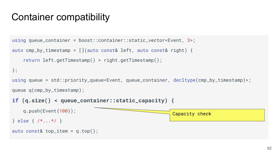```
using queue_container = boost::container::static_vector<Event, 3>;
auto cmp_by_timestamp = [](auto const& left, auto const& right) {
    return left.getTimestamp() > right.getTimestamp();
};
using queue = std::priority_queue<Event, queue_container, decltype(cmp_by_timestamp)>;
queue q(cmp_by_timestamp);
if (q.size() < queue_container::static_capacity) { 
    q.push(Event{100});
} else { /*...*/ }
auto const& top_item = q.top();
                                                         Capacity check
```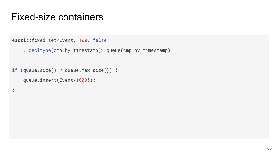```
eastl::fixed_set<Event, 100, false
```

```
 , decltype(cmp_by_timestamp)> queue(cmp_by_timestamp);
```

```
if (queue.size() < queue.max_size()) {
```

```
 queue.insert(Event{1000});
```
}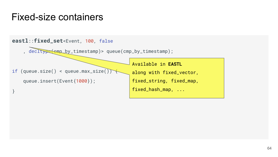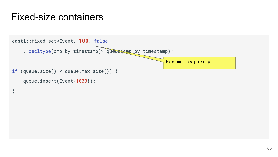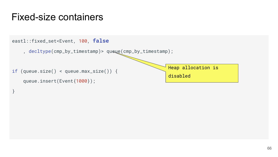}

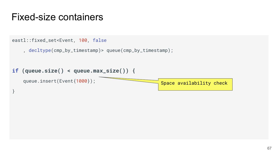```
eastl::fixed_set<Event, 100, false
     , decltype(cmp_by_timestamp)> queue(cmp_by_timestamp);
if (queue.size() < queue.max_size()) {
    queue.insert(Event{1000}); 
}
                                                    Space availability check
```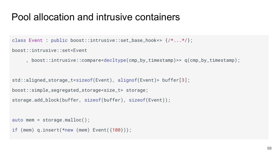```
class Event : public boost::intrusive::set_base_hook<> {/*...*/};
```

```
boost::intrusive::set<Event
```

```
, boost::intrusive::compare<decltype(cmp_by_timestamp)>> q(cmp_by_timestamp);
```

```
std::aligned_storage_t<sizeof(Event), alignof(Event)> buffer[3];
boost::simple_segregated_storage<size_t> storage;
storage.add_block(buffer, sizeof(buffer), sizeof(Event));
```

```
auto mem = storage.malloc();
if (mem) q.insert(*new (mem) Event({100}));
```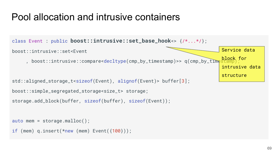```
class Event : public boost::intrusive::set_base_hook<> {/*...*/};
boost::intrusive::set<Event
     , boost::intrusive::compare<decltype(cmp_by_timestamp)>> q(cmp_by_time
std::aligned_storage_t<sizeof(Event), alignof(Event)> buffer[3];
boost::simple_segregated_storage<size_t> storage;
storage.add_block(buffer, sizeof(buffer), sizeof(Event));
auto mem = storage.malloc();
if (mem) q.insert(*new (mem) Event({<math>{100}</math>)});Service data 
                                                                              block for 
                                                                              intrusive data 
                                                                              structure
```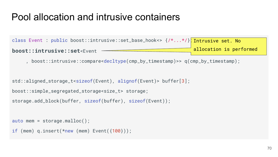```
class Event : public boost::intrusive::set_base_hook<> {/*...*/}<mark>;Intrusive set. No</mark>
boost::intrusive::set<Event
     , boost::intrusive::compare<decltype(cmp_by_timestamp)>> q(cmp_by_timestamp);
std::aligned_storage_t<sizeof(Event), alignof(Event)> buffer[3];
boost::simple_segregated_storage<size_t> storage;
storage.add_block(buffer, sizeof(buffer), sizeof(Event));
                                                                   allocation is performed
```

```
auto mem = storage.malloc();
```

```
if (mem) q.insert(*new (mem) Event({<math>{100}</math>)});
```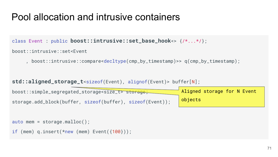```
class Event : public boost::intrusive::set_base_hook<> {/*...*/};
```

```
boost::intrusive::set<Event
```

```
, boost::intrusive::compare<decltype(cmp_by_timestamp)>> q(cmp_by_timestamp);
```

```
std::aligned_storage_t<sizeof(Event), alignof(Event)> buffer[N];
```

| boost::simple_segregated_storage <size_t> storage;</size_t> | Aligned storage for N Event |
|-------------------------------------------------------------|-----------------------------|
| storage.add_block(buffer, sizeof(buffer), sizeof(Event));   | objects                     |

```
auto mem = storage.malloc();
```

```
if (mem) q.insert(*new (mem) Event({<math>{100}</math>)});
```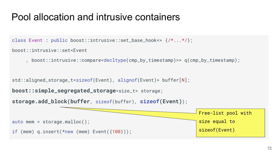```
class Event : public boost::intrusive::set_base_hook<> {/*...*/};
```

```
boost::intrusive::set<Event
```

```
, boost::intrusive::compare<decltype(cmp_by_timestamp)>> q(cmp_by_timestamp);
```

```
std::aligned_storage_t<sizeof(Event), alignof(Event)> buffer[N];
```

```
boost::simple_segregated_storage<size_t> storage;
```

```
storage.add_block(buffer, sizeof(buffer), sizeof(Event));
```
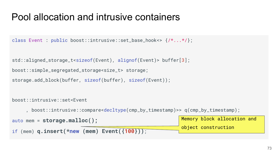#### Pool allocation and intrusive containers

```
class Event : public boost::intrusive::set_base_hook<> {/*...*/};
```

```
std::aligned_storage_t<sizeof(Event), alignof(Event)> buffer[3];
boost::simple_segregated_storage<size_t> storage;
storage.add_block(buffer, sizeof(buffer), sizeof(Event));
```

```
boost::intrusive::set<Event
    , boost::intrusive::compare<decltype(cmp_by_timestamp)>> q(cmp_by_timestamp);
auto mem = storage.malloc();
if (mem) q.insert(*new (mem) Event({100}));
                                                           Memory block allocation and 
                                                           object construction
```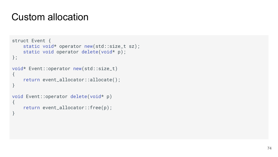```
struct Event {
    static void* operator new(std::size_t sz);
    static void operator delete(void* p);
};
void* Event::operator new(std::size_t)
{
     return event_allocator::allocate();
}
void Event::operator delete(void* p)
{
     return event_allocator::free(p);
}
```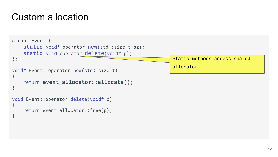```
struct Event {
     static void* operator new(std::size_t sz);
   static void operator delete(void* p);
};
void* Event::operator new(std::size_t)
{
     return event_allocator::allocate();
}
void Event::operator delete(void* p)
{
     return event_allocator::free(p);
}
                                                          Static methods access shared 
                                                          allocator
```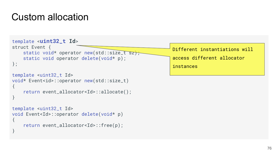```
template <uint32_t Id>
struct Event {
    static void* operator new(std::size_t sz);
    static void operator delete(void* p);
};
template <uint32_t Id>
void* Event<id>::operator new(std::size_t)
{
     return event_allocator<Id>::allocate();
}
template <uint32_t Id>
void Event<Id>::operator delete(void* p)
{
     return event_allocator<Id>::free(p);
}
                                                           Different instantiations will 
                                                           access different allocator 
                                                           instances
```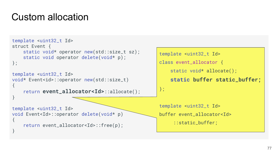```
template <uint32_t Id>
struct Event {
    static void* operator new(std::size_t sz);
    static void operator delete(void* p);
};
template <uint32_t Id>
void* Event<id>::operator new(std::size_t)
{
     return event_allocator<Id>::allocate();
}
template <uint32_t Id>
void Event<Id>::operator delete(void* p)
{
     return event_allocator<Id>::free(p);
}
```

```
template <uint32_t Id>
class event_allocator {
   static void* allocate();
     static buffer static_buffer;
};
template <uint32_t Id>
buffer event_allocator<Id>
```
::static\_buffer;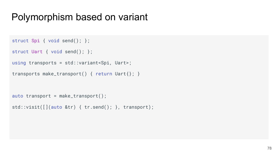```
struct Spi { void send(); };
```

```
struct Uart { void send(); };
```

```
using transports = std::variant<Spi, Uart>;
```

```
transports make_transport() { return Uart{}; }
```

```
auto transport = make_transport();
```

```
std::visit([](auto &tr) { tr.send(); }, transport);
```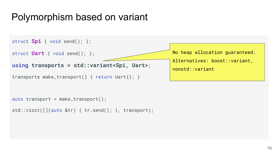

```
auto transport = make_transport();
```

```
std::visit([](auto &tr) { tr.send(); }, transport);
```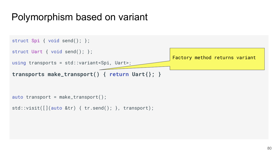

```
std::visit([](auto &tr) { tr.send(); }, transport);
```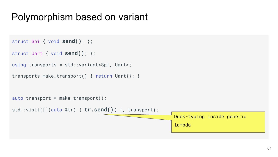```
struct Spi { void send(); };
```

```
struct Uart { void send(); };
```

```
using transports = std::variant<Spi, Uart>;
```

```
transports make_transport() { return Uart{}; }
```

```
auto transport = make_transport();
```
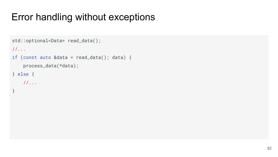# Error handling without exceptions

```
std::optional<Data> read_data(); 
//...
if (const auto &data = read_data(); data) {
     process_data(*data);
} else {
    //...
}
```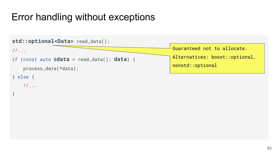# Error handling without exceptions

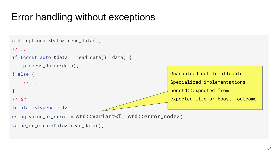# Error handling without exceptions

```
std::optional<Data> read_data(); 
//...
if (const auto &data = read_data(); data) {
     process_data(*data);
} else {
    //...
}
// or
template<typename T>
using value_or_error = std::variant<T, std::error_code>;
value_or_error<Data> read_data(); 
                                                          Guaranteed not to allocate.
                                                          Specialized implementations: 
                                                          nonstd::expected from 
                                                          expected-lite or boost::outcome
```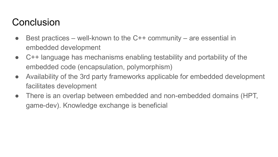## **Conclusion**

- $\bullet$  Best practices well-known to the C++ community are essential in embedded development
- C++ language has mechanisms enabling testability and portability of the embedded code (encapsulation, polymorphism)
- Availability of the 3rd party frameworks applicable for embedded development facilitates development
- There is an overlap between embedded and non-embedded domains (HPT, game-dev). Knowledge exchange is beneficial